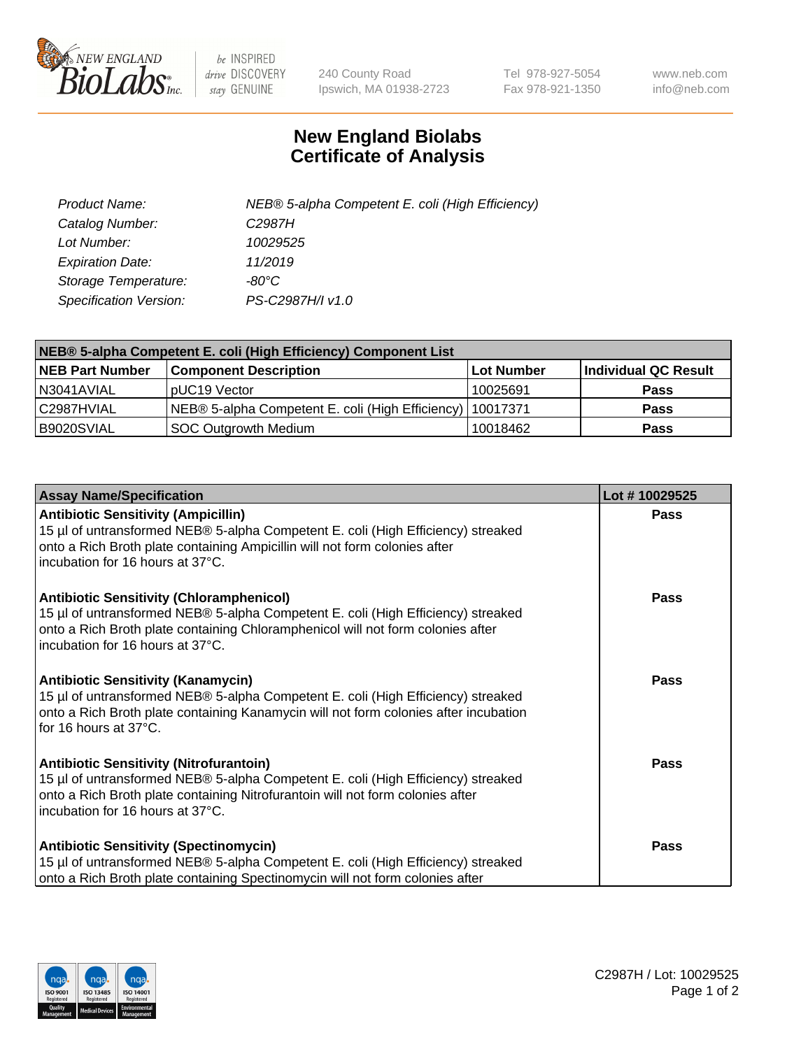

 $be$  INSPIRED drive DISCOVERY stay GENUINE

240 County Road Ipswich, MA 01938-2723 Tel 978-927-5054 Fax 978-921-1350 www.neb.com info@neb.com

## **New England Biolabs Certificate of Analysis**

| Product Name:           | NEB® 5-alpha Competent E. coli (High Efficiency) |
|-------------------------|--------------------------------------------------|
| Catalog Number:         | C <sub>2987</sub> H                              |
| Lot Number:             | 10029525                                         |
| <b>Expiration Date:</b> | 11/2019                                          |
| Storage Temperature:    | -80°C                                            |
| Specification Version:  | PS-C2987H/I v1.0                                 |

| NEB® 5-alpha Competent E. coli (High Efficiency) Component List |                                                             |            |                      |  |
|-----------------------------------------------------------------|-------------------------------------------------------------|------------|----------------------|--|
| <b>NEB Part Number</b>                                          | <b>Component Description</b>                                | Lot Number | Individual QC Result |  |
| N3041AVIAL                                                      | pUC19 Vector                                                | 10025691   | Pass                 |  |
| C2987HVIAL                                                      | NEB® 5-alpha Competent E. coli (High Efficiency)   10017371 |            | <b>Pass</b>          |  |
| B9020SVIAL                                                      | <b>SOC Outgrowth Medium</b>                                 | 10018462   | <b>Pass</b>          |  |

| <b>Assay Name/Specification</b>                                                                                                                                                                                                                            | Lot #10029525 |
|------------------------------------------------------------------------------------------------------------------------------------------------------------------------------------------------------------------------------------------------------------|---------------|
| <b>Antibiotic Sensitivity (Ampicillin)</b><br>15 µl of untransformed NEB® 5-alpha Competent E. coli (High Efficiency) streaked<br>onto a Rich Broth plate containing Ampicillin will not form colonies after<br>incubation for 16 hours at 37°C.           | Pass          |
| <b>Antibiotic Sensitivity (Chloramphenicol)</b><br>15 µl of untransformed NEB® 5-alpha Competent E. coli (High Efficiency) streaked<br>onto a Rich Broth plate containing Chloramphenicol will not form colonies after<br>incubation for 16 hours at 37°C. | Pass          |
| Antibiotic Sensitivity (Kanamycin)<br>15 µl of untransformed NEB® 5-alpha Competent E. coli (High Efficiency) streaked<br>onto a Rich Broth plate containing Kanamycin will not form colonies after incubation<br>for 16 hours at 37°C.                    | Pass          |
| <b>Antibiotic Sensitivity (Nitrofurantoin)</b><br>15 µl of untransformed NEB® 5-alpha Competent E. coli (High Efficiency) streaked<br>onto a Rich Broth plate containing Nitrofurantoin will not form colonies after<br>incubation for 16 hours at 37°C.   | <b>Pass</b>   |
| <b>Antibiotic Sensitivity (Spectinomycin)</b><br>15 µl of untransformed NEB® 5-alpha Competent E. coli (High Efficiency) streaked<br>onto a Rich Broth plate containing Spectinomycin will not form colonies after                                         | Pass          |